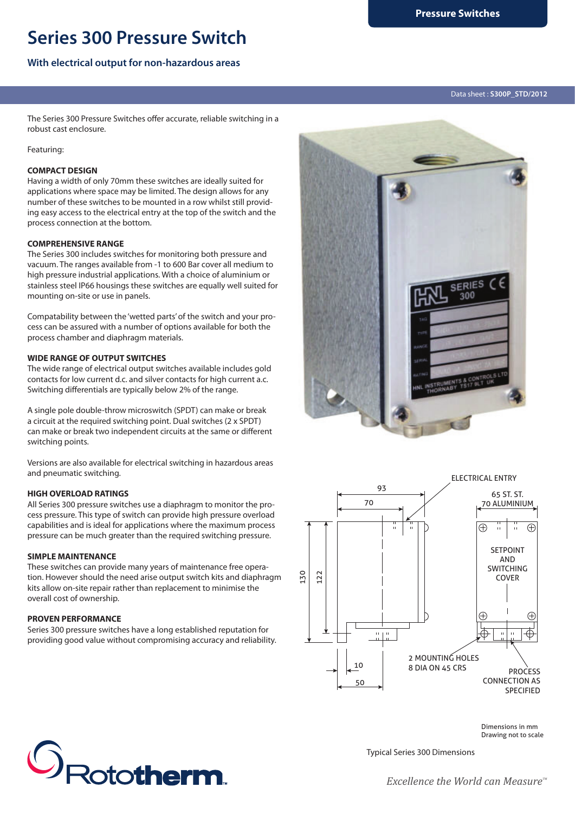# **Series 300 Pressure Switch**

## **With electrical output for non-hazardous areas**

The Series 300 Pressure Switches offer accurate, reliable switching in a robust cast enclosure.

Featuring:

#### **COMPACT DESIGN**

Having a width of only 70mm these switches are ideally suited for applications where space may be limited. The design allows for any number of these switches to be mounted in a row whilst still providing easy access to the electrical entry at the top of the switch and the process connection at the bottom.

#### **COMPREHENSIVE RANGE**

The Series 300 includes switches for monitoring both pressure and vacuum. The ranges available from -1 to 600 Bar cover all medium to high pressure industrial applications. With a choice of aluminium or stainless steel IP66 housings these switches are equally well suited for mounting on-site or use in panels.

Compatability between the 'wetted parts' of the switch and your process can be assured with a number of options available for both the process chamber and diaphragm materials.

## **WIDE RANGE OF OUTPUT SWITCHES**

The wide range of electrical output switches available includes gold contacts for low current d.c. and silver contacts for high current a.c. Switching differentials are typically below 2% of the range.

A single pole double-throw microswitch (SPDT) can make or break a circuit at the required switching point. Dual switches (2 x SPDT) can make or break two independent circuits at the same or different switching points.

Versions are also available for electrical switching in hazardous areas and pneumatic switching.

#### **HIGH OVERLOAD RATINGS**

All Series 300 pressure switches use a diaphragm to monitor the process pressure. This type of switch can provide high pressure overload capabilities and is ideal for applications where the maximum process pressure can be much greater than the required switching pressure.

#### **SIMPLE MAINTENANCE**

These switches can provide many years of maintenance free operation. However should the need arise output switch kits and diaphragm kits allow on-site repair rather than replacement to minimise the overall cost of ownership.

## **PROVEN PERFORMANCE**

Series 300 pressure switches have a long established reputation for providing good value without compromising accuracy and reliability.





**S** Rototherm.

Typical Series 300 Dimensions

*Excellence the World can Measure*<sup>™</sup>

Dimensions in mm Drawing not to scale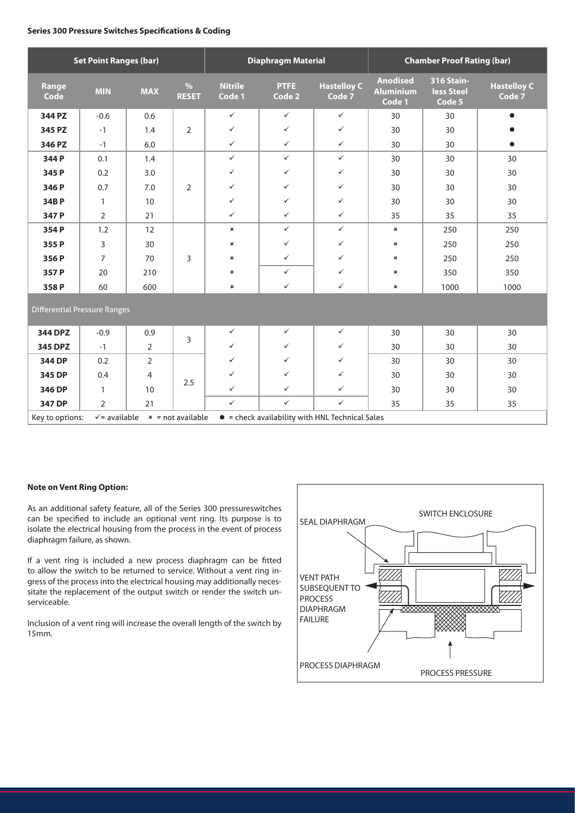#### **Series 300 Pressure Switches Specifications & Coding**

| <b>Set Point Ranges (bar)</b>                                                                                         |                |                |                      | <b>Diaphragm Material</b> |                |                              | <b>Chamber Proof Rating (bar)</b>             |                                                  |                              |
|-----------------------------------------------------------------------------------------------------------------------|----------------|----------------|----------------------|---------------------------|----------------|------------------------------|-----------------------------------------------|--------------------------------------------------|------------------------------|
| Range<br>Code                                                                                                         | <b>MIN</b>     | <b>MAX</b>     | $\%$<br><b>RESET</b> | <b>Nitrile</b><br>Code 1  | PTFE<br>Code 2 | <b>Hastelloy C</b><br>Code 7 | <b>Anodised</b><br><b>Aluminium</b><br>Code 1 | <b>316 Stain-</b><br><b>less Steel</b><br>Code 5 | <b>Hastelloy C</b><br>Code 7 |
| 344 PZ                                                                                                                | $-0.6$         | 0.6            |                      | $\checkmark$              | $\checkmark$   | $\checkmark$                 | 30                                            | 30                                               | $\bullet$                    |
| 345 PZ                                                                                                                | $-1$           | 1.4            | $\overline{2}$       | $\checkmark$              | $\checkmark$   | $\checkmark$                 | 30                                            | 30                                               |                              |
| 346 PZ                                                                                                                | $-1$           | 6.0            |                      | $\checkmark$              | $\checkmark$   | $\checkmark$                 | 30                                            | 30                                               | $\bullet$                    |
| 344 P                                                                                                                 | 0.1            | 1.4            |                      | $\checkmark$              | $\checkmark$   | $\checkmark$                 | 30                                            | 30                                               | 30                           |
| 345 P                                                                                                                 | 0.2            | 3.0            |                      | $\checkmark$              | $\checkmark$   | $\checkmark$                 | 30                                            | 30                                               | 30                           |
| 346 P                                                                                                                 | 0.7            | 7.0            | $\overline{2}$       | $\checkmark$              | $\checkmark$   | $\checkmark$                 | 30                                            | 30                                               | 30                           |
| 34BP                                                                                                                  | $\mathbf{1}$   | 10             |                      | $\checkmark$              | $\checkmark$   | $\checkmark$                 | 30                                            | 30                                               | 30                           |
| 347 P                                                                                                                 | $\overline{2}$ | 21             |                      | $\checkmark$              | $\checkmark$   | $\checkmark$                 | 35                                            | 35                                               | 35                           |
| 354 P                                                                                                                 | 1.2            | 12             |                      | $\pmb{\times}$            | $\checkmark$   | $\checkmark$                 | $\mathbf{x}$                                  | 250                                              | 250                          |
| 355P                                                                                                                  | 3              | 30             | 3                    | $\pmb{\times}$            | $\checkmark$   | $\checkmark$                 | ×                                             | 250                                              | 250                          |
| 356 P                                                                                                                 | 7              | 70             |                      | $\pmb{\times}$            | $\checkmark$   | $\checkmark$                 | ×                                             | 250                                              | 250                          |
| 357 P                                                                                                                 | 20             | 210            |                      | $\pmb{\times}$            | $\checkmark$   | $\checkmark$                 | ×                                             | 350                                              | 350                          |
| 358P                                                                                                                  | 60             | 600            |                      | ×                         | $\checkmark$   | $\checkmark$                 | ×                                             | 1000                                             | 1000                         |
| <b>Differential Pressure Ranges</b>                                                                                   |                |                |                      |                           |                |                              |                                               |                                                  |                              |
| 344 DPZ                                                                                                               | $-0.9$         | 0.9            | 3                    | $\checkmark$              | $\checkmark$   | $\checkmark$                 | 30                                            | 30                                               | 30                           |
| 345 DPZ                                                                                                               | $-1$           | $\overline{2}$ |                      | $\checkmark$              | $\checkmark$   | ✓                            | 30                                            | 30                                               | 30                           |
| 344 DP                                                                                                                | 0.2            | $\overline{2}$ |                      | $\checkmark$              | ✓              | $\checkmark$                 | 30                                            | 30                                               | 30                           |
| 345 DP                                                                                                                | 0.4            | 4              | 2.5                  | $\checkmark$              | $\checkmark$   | $\checkmark$                 | 30                                            | 30                                               | 30                           |
| 346 DP                                                                                                                | $\mathbf{1}$   | 10             |                      | $\checkmark$              | $\checkmark$   | $\checkmark$                 | 30                                            | 30                                               | 30                           |
| 347 DP                                                                                                                | $\overline{2}$ | 21             |                      | $\checkmark$              | $\checkmark$   | $\checkmark$                 | 35                                            | 35                                               | 35                           |
| $\checkmark$ = available<br>• = check availability with HNL Technical Sales<br>Key to options:<br>$x = not available$ |                |                |                      |                           |                |                              |                                               |                                                  |                              |

### **Note on Vent Ring Option:**

As an additional safety feature, all of the Series 300 pressureswitches can be specified to include an optional vent ring. Its purpose is to isolate the electrical housing from the process in the event of process diaphragm failure, as shown.

If a vent ring is included a new process diaphragm can be fitted to allow the switch to be returned to service. Without a vent ring ingress of the process into the electrical housing may additionally necessitate the replacement of the output switch or render the switch unserviceable.

Inclusion of a vent ring will increase the overall length of the switch by 15mm.

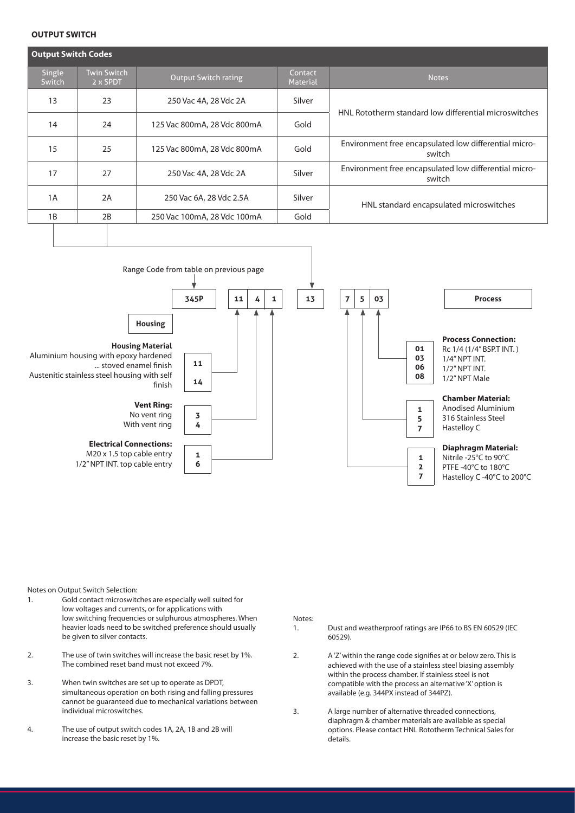#### **OUTPUT SWITCH**

| <b>Output Switch Codes</b> |                                |                             |                            |                                                                 |  |  |  |  |  |
|----------------------------|--------------------------------|-----------------------------|----------------------------|-----------------------------------------------------------------|--|--|--|--|--|
| Single<br>Switch           | <b>Twin Switch</b><br>2 x SPDT | <b>Output Switch rating</b> | Contact<br><b>Material</b> | <b>Notes</b>                                                    |  |  |  |  |  |
| 13                         | 23                             | 250 Vac 4A, 28 Vdc 2A       | Silver                     | HNL Rototherm standard low differential microswitches           |  |  |  |  |  |
| 14                         | 24                             | 125 Vac 800mA, 28 Vdc 800mA | Gold                       |                                                                 |  |  |  |  |  |
| 15                         | 25                             | 125 Vac 800mA, 28 Vdc 800mA | Gold                       | Environment free encapsulated low differential micro-<br>switch |  |  |  |  |  |
| 17                         | 27                             | 250 Vac 4A, 28 Vdc 2A       | Silver                     | Environment free encapsulated low differential micro-<br>switch |  |  |  |  |  |
| 1A                         | 2A                             | 250 Vac 6A, 28 Vdc 2.5A     | Silver                     | HNL standard encapsulated microswitches                         |  |  |  |  |  |
| 1B                         | 2B                             | 250 Vac 100mA, 28 Vdc 100mA | Gold                       |                                                                 |  |  |  |  |  |
|                            |                                |                             |                            |                                                                 |  |  |  |  |  |



Notes on Output Switch Selection:

- 1. Gold contact microswitches are especially well suited for low voltages and currents, or for applications with low switching frequencies or sulphurous atmospheres. When heavier loads need to be switched preference should usually be given to silver contacts.
- 2. The use of twin switches will increase the basic reset by 1%. The combined reset band must not exceed 7%.
- 3. When twin switches are set up to operate as DPDT, simultaneous operation on both rising and falling pressures cannot be guaranteed due to mechanical variations between individual microswitches.
- 4. The use of output switch codes 1A, 2A, 1B and 2B will increase the basic reset by 1%.

Notes:

- 1. Dust and weatherproof ratings are IP66 to BS EN 60529 (IEC 60529).
- 2. A 'Z' within the range code signifies at or below zero. This is achieved with the use of a stainless steel biasing assembly within the process chamber. If stainless steel is not compatible with the process an alternative 'X' option is available (e.g. 344PX instead of 344PZ).
- 3. A large number of alternative threaded connections, diaphragm & chamber materials are available as special options. Please contact HNL Rototherm Technical Sales for details.